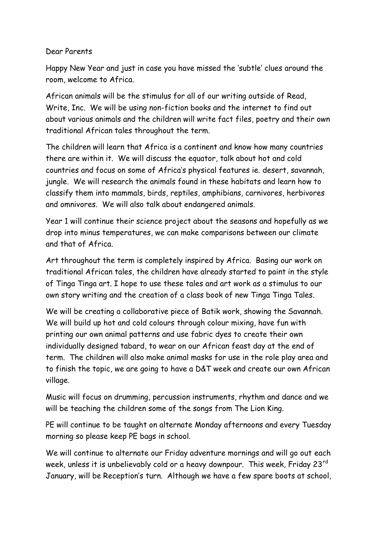## Dear Parents

Happy New Year and just in case you have missed the 'subtle' clues around the room, welcome to Africa.

African animals will be the stimulus for all of our writing outside of Read, Write, Inc. We will be using non-fiction books and the internet to find out about various animals and the children will write fact files, poetry and their own traditional African tales throughout the term.

The children will learn that Africa is a continent and know how many countries there are within it. We will discuss the equator, talk about hot and cold countries and focus on some of Africa's physical features ie. desert, savannah, jungle. We will research the animals found in these habitats and learn how to classify them into mammals, birds, reptiles, amphibians, carnivores, herbivores and omnivores. We will also talk about endangered animals.

Year 1 will continue their science project about the seasons and hopefully as we drop into minus temperatures, we can make comparisons between our climate and that of Africa.

Art throughout the term is completely inspired by Africa. Basing our work on traditional African tales, the children have already started to paint in the style of Tinga Tinga art. I hope to use these tales and art work as a stimulus to our own story writing and the creation of a class book of new Tinga Tinga Tales.

We will be creating a collaborative piece of Batik work, showing the Savannah. We will build up hot and cold colours through colour mixing, have fun with printing our own animal patterns and use fabric dyes to create their own individually designed tabard, to wear on our African feast day at the end of term. The children will also make animal masks for use in the role play area and to finish the topic, we are going to have a D&T week and create our own African village.

Music will focus on drumming, percussion instruments, rhythm and dance and we will be teaching the children some of the songs from The Lion King.

PE will continue to be taught on alternate Monday afternoons and every Tuesday morning so please keep PE bags in school.

We will continue to alternate our Friday adventure mornings and will go out each week, unless it is unbelievably cold or a heavy downpour. This week, Friday 23<sup>rd</sup> January, will be Reception's turn. Although we have a few spare boots at school,